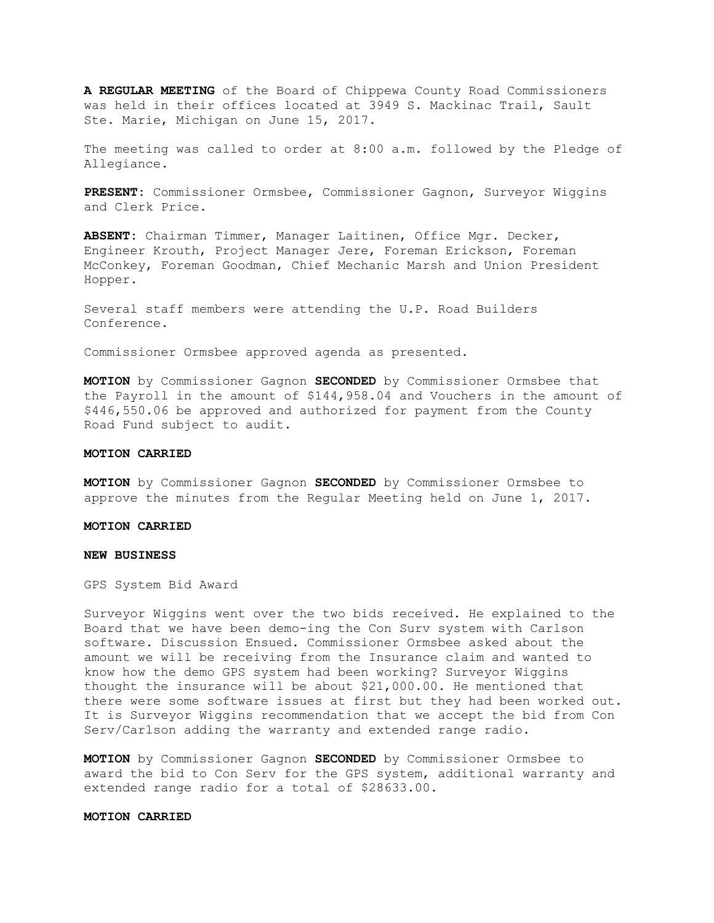**A REGULAR MEETING** of the Board of Chippewa County Road Commissioners was held in their offices located at 3949 S. Mackinac Trail, Sault Ste. Marie, Michigan on June 15, 2017.

The meeting was called to order at 8:00 a.m. followed by the Pledge of Allegiance.

**PRESENT:** Commissioner Ormsbee, Commissioner Gagnon, Surveyor Wiggins and Clerk Price.

**ABSENT:** Chairman Timmer, Manager Laitinen, Office Mgr. Decker, Engineer Krouth, Project Manager Jere, Foreman Erickson, Foreman McConkey, Foreman Goodman, Chief Mechanic Marsh and Union President Hopper.

Several staff members were attending the U.P. Road Builders Conference.

Commissioner Ormsbee approved agenda as presented.

**MOTION** by Commissioner Gagnon **SECONDED** by Commissioner Ormsbee that the Payroll in the amount of \$144,958.04 and Vouchers in the amount of \$446,550.06 be approved and authorized for payment from the County Road Fund subject to audit.

### **MOTION CARRIED**

**MOTION** by Commissioner Gagnon **SECONDED** by Commissioner Ormsbee to approve the minutes from the Regular Meeting held on June 1, 2017.

#### **MOTION CARRIED**

#### **NEW BUSINESS**

GPS System Bid Award

Surveyor Wiggins went over the two bids received. He explained to the Board that we have been demo-ing the Con Surv system with Carlson software. Discussion Ensued. Commissioner Ormsbee asked about the amount we will be receiving from the Insurance claim and wanted to know how the demo GPS system had been working? Surveyor Wiggins thought the insurance will be about \$21,000.00. He mentioned that there were some software issues at first but they had been worked out. It is Surveyor Wiggins recommendation that we accept the bid from Con Serv/Carlson adding the warranty and extended range radio.

**MOTION** by Commissioner Gagnon **SECONDED** by Commissioner Ormsbee to award the bid to Con Serv for the GPS system, additional warranty and extended range radio for a total of \$28633.00.

## **MOTION CARRIED**